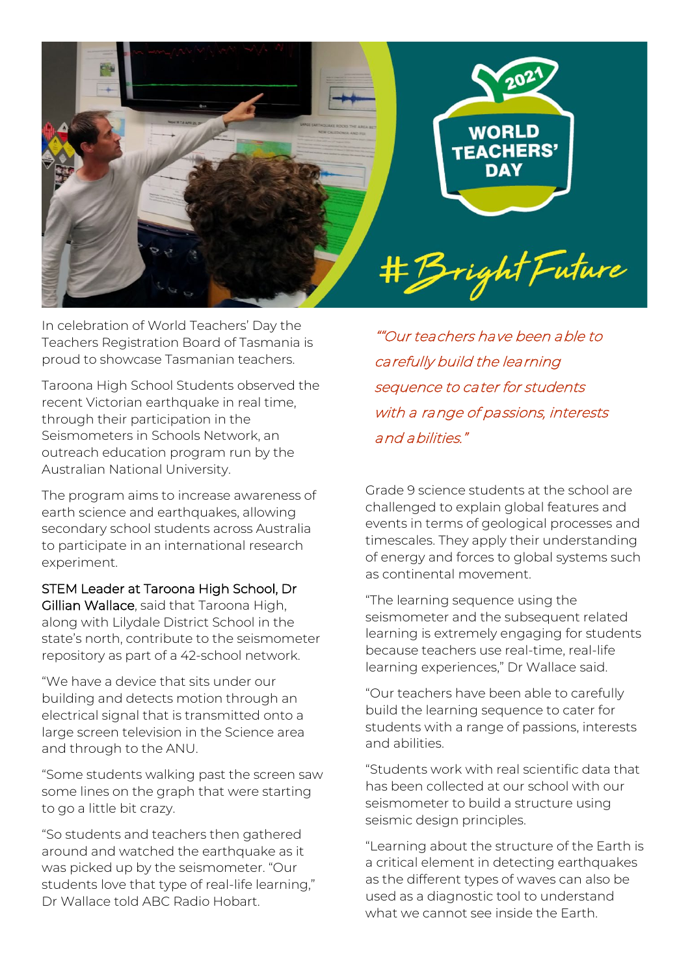

In celebration of World Teachers' Day the Teachers Registration Board of Tasmania is proud to showcase Tasmanian teachers.

Taroona High School Students observed the recent Victorian earthquake in real time. through their participation in the Seismometers in Schools Network, an outreach education program run by the Australian National University.

The program aims to increase awareness of earth science and earthquakes, allowing secondary school students across Australia to participate in an international research experiment.

STEM Leader at Taroona High School, Dr Gillian Wallace, said that Taroona High, along with Lilydale District School in the state's north, contribute to the seismometer repository as part of a 42-school network.

"We have a device that sits under our building and detects motion through an electrical signal that is transmitted onto a large screen television in the Science area and through to the ANU.

"Some students walking past the screen saw some lines on the graph that were starting to go a little bit crazy.

"So students and teachers then gathered around and watched the earthquake as it was picked up by the seismometer. "Our students love that type of real-life learning," Dr Wallace told ABC Radio Hobart.

""Our teachers have been able to carefully build the learning sequence to cater for students with a range of passions, interests and abilities."

Grade 9 science students at the school are challenged to explain global features and events in terms of geological processes and timescales. They apply their understanding of energy and forces to global systems such as continental movement.

"The learning sequence using the seismometer and the subsequent related learning is extremely engaging for students because teachers use real-time, real-life learning experiences," Dr Wallace said.

"Our teachers have been able to carefully build the learning sequence to cater for students with a range of passions, interests and abilities.

"Students work with real scientific data that has been collected at our school with our seismometer to build a structure using seismic design principles.

"Learning about the structure of the Earth is a critical element in detecting earthquakes as the different types of waves can also be used as a diagnostic tool to understand what we cannot see inside the Earth.